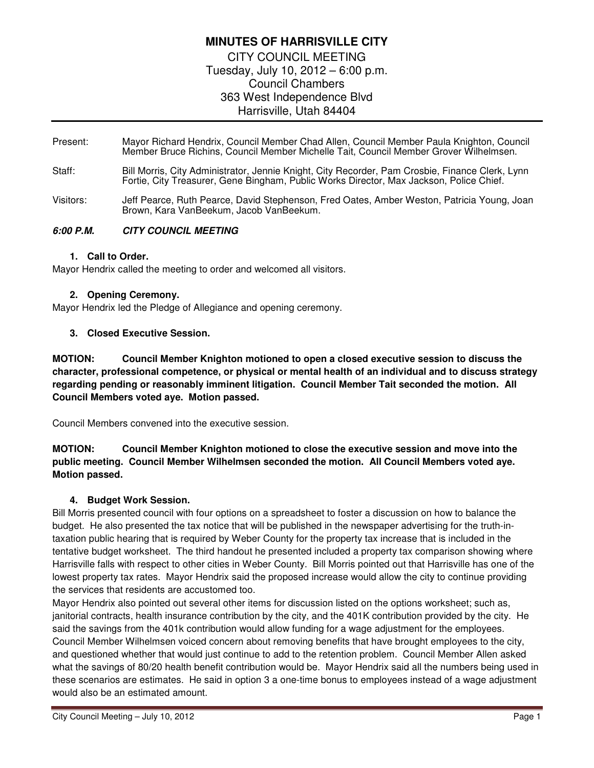# **MINUTES OF HARRISVILLE CITY**

CITY COUNCIL MEETING Tuesday, July 10, 2012 – 6:00 p.m. Council Chambers 363 West Independence Blvd Harrisville, Utah 84404

- Present: Mayor Richard Hendrix, Council Member Chad Allen, Council Member Paula Knighton, Council Member Bruce Richins, Council Member Michelle Tait, Council Member Grover Wilhelmsen.
- Staff: Bill Morris, City Administrator, Jennie Knight, City Recorder, Pam Crosbie, Finance Clerk, Lynn Fortie, City Treasurer, Gene Bingham, Public Works Director, Max Jackson, Police Chief.
- Visitors: Jeff Pearce, Ruth Pearce, David Stephenson, Fred Oates, Amber Weston, Patricia Young, Joan Brown, Kara VanBeekum, Jacob VanBeekum.

# **6:00 P.M. CITY COUNCIL MEETING**

## **1. Call to Order.**

Mayor Hendrix called the meeting to order and welcomed all visitors.

# **2. Opening Ceremony.**

Mayor Hendrix led the Pledge of Allegiance and opening ceremony.

# **3. Closed Executive Session.**

**MOTION: Council Member Knighton motioned to open a closed executive session to discuss the character, professional competence, or physical or mental health of an individual and to discuss strategy regarding pending or reasonably imminent litigation. Council Member Tait seconded the motion. All Council Members voted aye. Motion passed.** 

Council Members convened into the executive session.

# **MOTION: Council Member Knighton motioned to close the executive session and move into the public meeting. Council Member Wilhelmsen seconded the motion. All Council Members voted aye. Motion passed.**

## **4. Budget Work Session.**

Bill Morris presented council with four options on a spreadsheet to foster a discussion on how to balance the budget. He also presented the tax notice that will be published in the newspaper advertising for the truth-intaxation public hearing that is required by Weber County for the property tax increase that is included in the tentative budget worksheet. The third handout he presented included a property tax comparison showing where Harrisville falls with respect to other cities in Weber County. Bill Morris pointed out that Harrisville has one of the lowest property tax rates. Mayor Hendrix said the proposed increase would allow the city to continue providing the services that residents are accustomed too.

Mayor Hendrix also pointed out several other items for discussion listed on the options worksheet; such as, janitorial contracts, health insurance contribution by the city, and the 401K contribution provided by the city. He said the savings from the 401k contribution would allow funding for a wage adjustment for the employees. Council Member Wilhelmsen voiced concern about removing benefits that have brought employees to the city, and questioned whether that would just continue to add to the retention problem. Council Member Allen asked what the savings of 80/20 health benefit contribution would be. Mayor Hendrix said all the numbers being used in these scenarios are estimates. He said in option 3 a one-time bonus to employees instead of a wage adjustment would also be an estimated amount.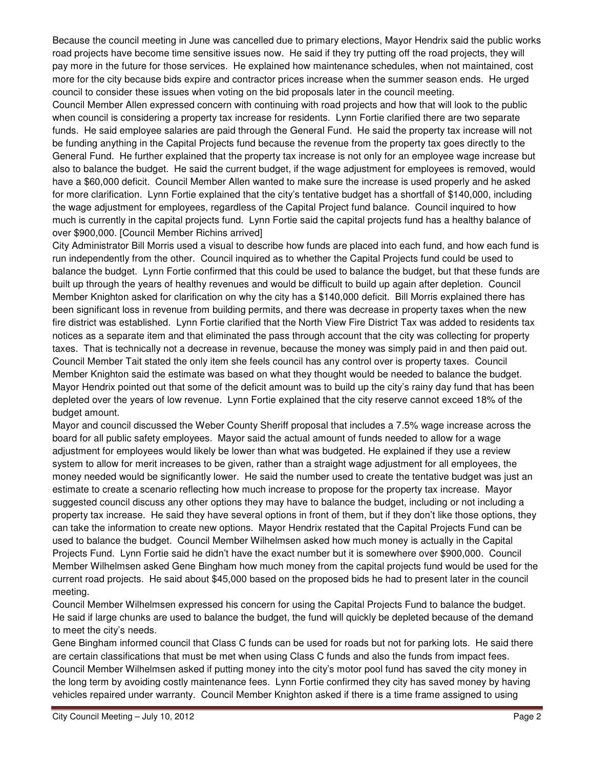Because the council meeting in June was cancelled due to primary elections, Mayor Hendrix said the public works road projects have become time sensitive issues now. He said if they try putting off the road projects, they will pay more in the future for those services. He explained how maintenance schedules, when not maintained, cost more for the city because bids expire and contractor prices increase when the summer season ends. He urged council to consider these issues when voting on the bid proposals later in the council meeting.

Council Member Allen expressed concern with continuing with road projects and how that will look to the public when council is considering a property tax increase for residents. Lynn Fortie clarified there are two separate funds. He said employee salaries are paid through the General Fund. He said the property tax increase will not be funding anything in the Capital Projects fund because the revenue from the property tax goes directly to the General Fund. He further explained that the property tax increase is not only for an employee wage increase but also to balance the budget. He said the current budget, if the wage adjustment for employees is removed, would have a \$60,000 deficit. Council Member Allen wanted to make sure the increase is used properly and he asked for more clarification. Lynn Fortie explained that the city's tentative budget has a shortfall of \$140,000, including the wage adjustment for employees, regardless of the Capital Project fund balance. Council inquired to how much is currently in the capital projects fund. Lynn Fortie said the capital projects fund has a healthy balance of over \$900,000. [Council Member Richins arrived]

City Administrator Bill Morris used a visual to describe how funds are placed into each fund, and how each fund is run independently from the other. Council inquired as to whether the Capital Projects fund could be used to balance the budget. Lynn Fortie confirmed that this could be used to balance the budget, but that these funds are built up through the years of healthy revenues and would be difficult to build up again after depletion. Council Member Knighton asked for clarification on why the city has a \$140,000 deficit. Bill Morris explained there has been significant loss in revenue from building permits, and there was decrease in property taxes when the new fire district was established. Lynn Fortie clarified that the North View Fire District Tax was added to residents tax notices as a separate item and that eliminated the pass through account that the city was collecting for property taxes. That is technically not a decrease in revenue, because the money was simply paid in and then paid out. Council Member Tait stated the only item she feels council has any control over is property taxes. Council Member Knighton said the estimate was based on what they thought would be needed to balance the budget. Mayor Hendrix pointed out that some of the deficit amount was to build up the city's rainy day fund that has been depleted over the years of low revenue. Lynn Fortie explained that the city reserve cannot exceed 18% of the budget amount.

Mayor and council discussed the Weber County Sheriff proposal that includes a 7.5% wage increase across the board for all public safety employees. Mayor said the actual amount of funds needed to allow for a wage adjustment for employees would likely be lower than what was budgeted. He explained if they use a review system to allow for merit increases to be given, rather than a straight wage adjustment for all employees, the money needed would be significantly lower. He said the number used to create the tentative budget was just an estimate to create a scenario reflecting how much increase to propose for the property tax increase. Mayor suggested council discuss any other options they may have to balance the budget, including or not including a property tax increase. He said they have several options in front of them, but if they don't like those options, they can take the information to create new options. Mayor Hendrix restated that the Capital Projects Fund can be used to balance the budget. Council Member Wilhelmsen asked how much money is actually in the Capital Projects Fund. Lynn Fortie said he didn't have the exact number but it is somewhere over \$900,000. Council Member Wilhelmsen asked Gene Bingham how much money from the capital projects fund would be used for the current road projects. He said about \$45,000 based on the proposed bids he had to present later in the council meeting.

Council Member Wilhelmsen expressed his concern for using the Capital Projects Fund to balance the budget. He said if large chunks are used to balance the budget, the fund will quickly be depleted because of the demand to meet the city's needs.

Gene Bingham informed council that Class C funds can be used for roads but not for parking lots. He said there are certain classifications that must be met when using Class C funds and also the funds from impact fees. Council Member Wilhelmsen asked if putting money into the city's motor pool fund has saved the city money in the long term by avoiding costly maintenance fees. Lynn Fortie confirmed they city has saved money by having vehicles repaired under warranty. Council Member Knighton asked if there is a time frame assigned to using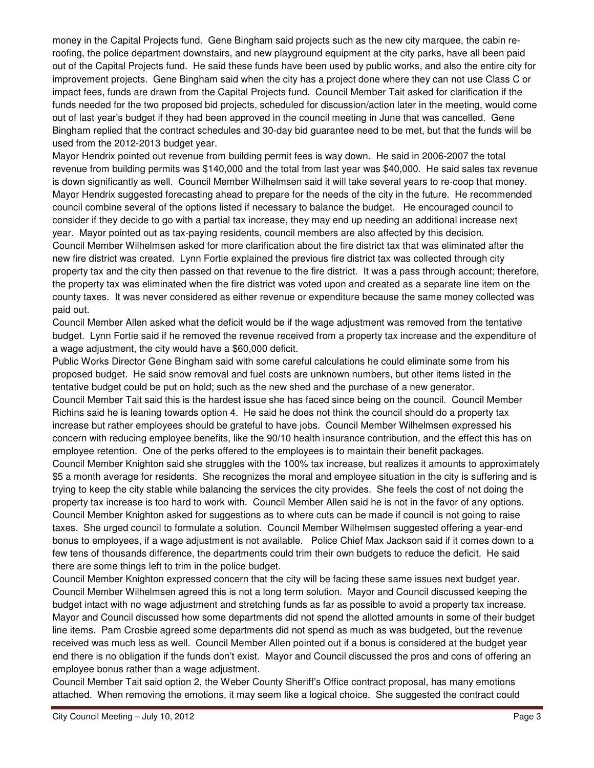money in the Capital Projects fund. Gene Bingham said projects such as the new city marquee, the cabin reroofing, the police department downstairs, and new playground equipment at the city parks, have all been paid out of the Capital Projects fund. He said these funds have been used by public works, and also the entire city for improvement projects. Gene Bingham said when the city has a project done where they can not use Class C or impact fees, funds are drawn from the Capital Projects fund. Council Member Tait asked for clarification if the funds needed for the two proposed bid projects, scheduled for discussion/action later in the meeting, would come out of last year's budget if they had been approved in the council meeting in June that was cancelled. Gene Bingham replied that the contract schedules and 30-day bid guarantee need to be met, but that the funds will be used from the 2012-2013 budget year.

Mayor Hendrix pointed out revenue from building permit fees is way down. He said in 2006-2007 the total revenue from building permits was \$140,000 and the total from last year was \$40,000. He said sales tax revenue is down significantly as well. Council Member Wilhelmsen said it will take several years to re-coop that money. Mayor Hendrix suggested forecasting ahead to prepare for the needs of the city in the future. He recommended council combine several of the options listed if necessary to balance the budget. He encouraged council to consider if they decide to go with a partial tax increase, they may end up needing an additional increase next year. Mayor pointed out as tax-paying residents, council members are also affected by this decision. Council Member Wilhelmsen asked for more clarification about the fire district tax that was eliminated after the new fire district was created. Lynn Fortie explained the previous fire district tax was collected through city property tax and the city then passed on that revenue to the fire district. It was a pass through account; therefore, the property tax was eliminated when the fire district was voted upon and created as a separate line item on the county taxes. It was never considered as either revenue or expenditure because the same money collected was paid out.

Council Member Allen asked what the deficit would be if the wage adjustment was removed from the tentative budget. Lynn Fortie said if he removed the revenue received from a property tax increase and the expenditure of a wage adjustment, the city would have a \$60,000 deficit.

Public Works Director Gene Bingham said with some careful calculations he could eliminate some from his proposed budget. He said snow removal and fuel costs are unknown numbers, but other items listed in the tentative budget could be put on hold; such as the new shed and the purchase of a new generator.

Council Member Tait said this is the hardest issue she has faced since being on the council. Council Member Richins said he is leaning towards option 4. He said he does not think the council should do a property tax increase but rather employees should be grateful to have jobs. Council Member Wilhelmsen expressed his concern with reducing employee benefits, like the 90/10 health insurance contribution, and the effect this has on employee retention. One of the perks offered to the employees is to maintain their benefit packages.

Council Member Knighton said she struggles with the 100% tax increase, but realizes it amounts to approximately \$5 a month average for residents. She recognizes the moral and employee situation in the city is suffering and is trying to keep the city stable while balancing the services the city provides. She feels the cost of not doing the property tax increase is too hard to work with. Council Member Allen said he is not in the favor of any options. Council Member Knighton asked for suggestions as to where cuts can be made if council is not going to raise taxes. She urged council to formulate a solution. Council Member Wilhelmsen suggested offering a year-end bonus to employees, if a wage adjustment is not available. Police Chief Max Jackson said if it comes down to a few tens of thousands difference, the departments could trim their own budgets to reduce the deficit. He said there are some things left to trim in the police budget.

Council Member Knighton expressed concern that the city will be facing these same issues next budget year. Council Member Wilhelmsen agreed this is not a long term solution. Mayor and Council discussed keeping the budget intact with no wage adjustment and stretching funds as far as possible to avoid a property tax increase. Mayor and Council discussed how some departments did not spend the allotted amounts in some of their budget line items. Pam Crosbie agreed some departments did not spend as much as was budgeted, but the revenue received was much less as well. Council Member Allen pointed out if a bonus is considered at the budget year end there is no obligation if the funds don't exist. Mayor and Council discussed the pros and cons of offering an employee bonus rather than a wage adjustment.

Council Member Tait said option 2, the Weber County Sheriff's Office contract proposal, has many emotions attached. When removing the emotions, it may seem like a logical choice. She suggested the contract could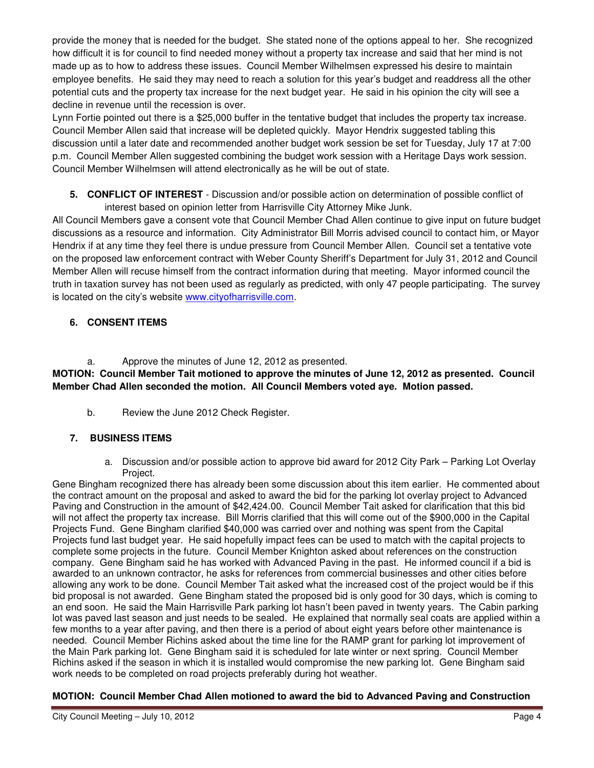provide the money that is needed for the budget. She stated none of the options appeal to her. She recognized how difficult it is for council to find needed money without a property tax increase and said that her mind is not made up as to how to address these issues. Council Member Wilhelmsen expressed his desire to maintain employee benefits. He said they may need to reach a solution for this year's budget and readdress all the other potential cuts and the property tax increase for the next budget year. He said in his opinion the city will see a decline in revenue until the recession is over.

Lynn Fortie pointed out there is a \$25,000 buffer in the tentative budget that includes the property tax increase. Council Member Allen said that increase will be depleted quickly. Mayor Hendrix suggested tabling this discussion until a later date and recommended another budget work session be set for Tuesday, July 17 at 7:00 p.m. Council Member Allen suggested combining the budget work session with a Heritage Days work session. Council Member Wilhelmsen will attend electronically as he will be out of state.

**5. CONFLICT OF INTEREST** - Discussion and/or possible action on determination of possible conflict of interest based on opinion letter from Harrisville City Attorney Mike Junk.

All Council Members gave a consent vote that Council Member Chad Allen continue to give input on future budget discussions as a resource and information. City Administrator Bill Morris advised council to contact him, or Mayor Hendrix if at any time they feel there is undue pressure from Council Member Allen. Council set a tentative vote on the proposed law enforcement contract with Weber County Sheriff's Department for July 31, 2012 and Council Member Allen will recuse himself from the contract information during that meeting. Mayor informed council the truth in taxation survey has not been used as regularly as predicted, with only 47 people participating. The survey is located on the city's website www.cityofharrisville.com.

# **6. CONSENT ITEMS**

a. Approve the minutes of June 12, 2012 as presented.

**MOTION: Council Member Tait motioned to approve the minutes of June 12, 2012 as presented. Council Member Chad Allen seconded the motion. All Council Members voted aye. Motion passed.** 

b. Review the June 2012 Check Register.

# **7. BUSINESS ITEMS**

a. Discussion and/or possible action to approve bid award for 2012 City Park – Parking Lot Overlay Project.

Gene Bingham recognized there has already been some discussion about this item earlier. He commented about the contract amount on the proposal and asked to award the bid for the parking lot overlay project to Advanced Paving and Construction in the amount of \$42,424.00. Council Member Tait asked for clarification that this bid will not affect the property tax increase. Bill Morris clarified that this will come out of the \$900,000 in the Capital Projects Fund. Gene Bingham clarified \$40,000 was carried over and nothing was spent from the Capital Projects fund last budget year. He said hopefully impact fees can be used to match with the capital projects to complete some projects in the future. Council Member Knighton asked about references on the construction company. Gene Bingham said he has worked with Advanced Paving in the past. He informed council if a bid is awarded to an unknown contractor, he asks for references from commercial businesses and other cities before allowing any work to be done. Council Member Tait asked what the increased cost of the project would be if this bid proposal is not awarded. Gene Bingham stated the proposed bid is only good for 30 days, which is coming to an end soon. He said the Main Harrisville Park parking lot hasn't been paved in twenty years. The Cabin parking lot was paved last season and just needs to be sealed. He explained that normally seal coats are applied within a few months to a year after paving, and then there is a period of about eight years before other maintenance is needed. Council Member Richins asked about the time line for the RAMP grant for parking lot improvement of the Main Park parking lot. Gene Bingham said it is scheduled for late winter or next spring. Council Member Richins asked if the season in which it is installed would compromise the new parking lot. Gene Bingham said work needs to be completed on road projects preferably during hot weather.

# **MOTION: Council Member Chad Allen motioned to award the bid to Advanced Paving and Construction**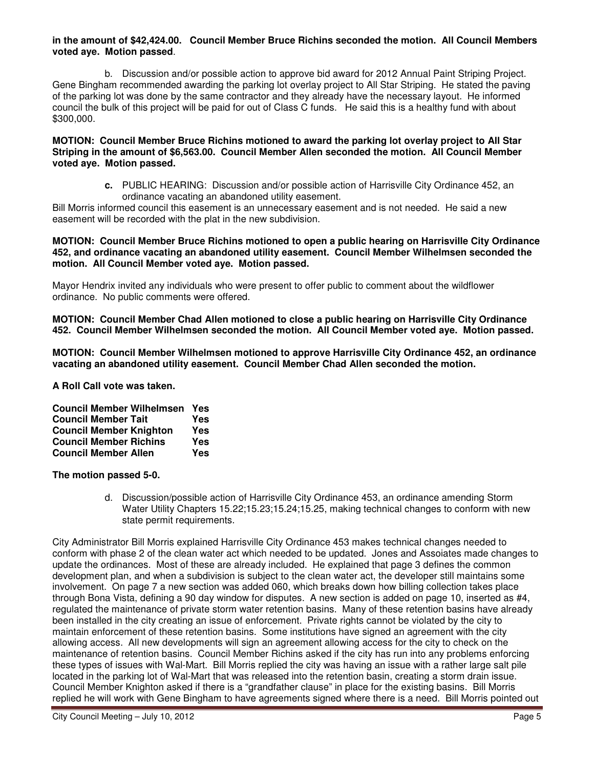#### **in the amount of \$42,424.00. Council Member Bruce Richins seconded the motion. All Council Members voted aye. Motion passed**.

b. Discussion and/or possible action to approve bid award for 2012 Annual Paint Striping Project. Gene Bingham recommended awarding the parking lot overlay project to All Star Striping. He stated the paving of the parking lot was done by the same contractor and they already have the necessary layout. He informed council the bulk of this project will be paid for out of Class C funds. He said this is a healthy fund with about \$300,000.

**MOTION: Council Member Bruce Richins motioned to award the parking lot overlay project to All Star Striping in the amount of \$6,563.00. Council Member Allen seconded the motion. All Council Member voted aye. Motion passed.** 

> **c.** PUBLIC HEARING: Discussion and/or possible action of Harrisville City Ordinance 452, an ordinance vacating an abandoned utility easement.

Bill Morris informed council this easement is an unnecessary easement and is not needed. He said a new easement will be recorded with the plat in the new subdivision.

#### **MOTION: Council Member Bruce Richins motioned to open a public hearing on Harrisville City Ordinance 452, and ordinance vacating an abandoned utility easement. Council Member Wilhelmsen seconded the motion. All Council Member voted aye. Motion passed.**

Mayor Hendrix invited any individuals who were present to offer public to comment about the wildflower ordinance. No public comments were offered.

**MOTION: Council Member Chad Allen motioned to close a public hearing on Harrisville City Ordinance 452. Council Member Wilhelmsen seconded the motion. All Council Member voted aye. Motion passed.** 

**MOTION: Council Member Wilhelmsen motioned to approve Harrisville City Ordinance 452, an ordinance vacating an abandoned utility easement. Council Member Chad Allen seconded the motion.** 

**A Roll Call vote was taken.** 

| <b>Council Member Wilhelmsen</b> | Yes |
|----------------------------------|-----|
| <b>Council Member Tait</b>       | Yes |
| <b>Council Member Knighton</b>   | Yes |
| <b>Council Member Richins</b>    | Yes |
| <b>Council Member Allen</b>      | Yes |

**The motion passed 5-0.**

d. Discussion/possible action of Harrisville City Ordinance 453, an ordinance amending Storm Water Utility Chapters 15.22;15.23;15.24;15.25, making technical changes to conform with new state permit requirements.

City Administrator Bill Morris explained Harrisville City Ordinance 453 makes technical changes needed to conform with phase 2 of the clean water act which needed to be updated. Jones and Assoiates made changes to update the ordinances. Most of these are already included. He explained that page 3 defines the common development plan, and when a subdivision is subject to the clean water act, the developer still maintains some involvement. On page 7 a new section was added 060, which breaks down how billing collection takes place through Bona Vista, defining a 90 day window for disputes. A new section is added on page 10, inserted as #4, regulated the maintenance of private storm water retention basins. Many of these retention basins have already been installed in the city creating an issue of enforcement. Private rights cannot be violated by the city to maintain enforcement of these retention basins. Some institutions have signed an agreement with the city allowing access. All new developments will sign an agreement allowing access for the city to check on the maintenance of retention basins. Council Member Richins asked if the city has run into any problems enforcing these types of issues with Wal-Mart. Bill Morris replied the city was having an issue with a rather large salt pile located in the parking lot of Wal-Mart that was released into the retention basin, creating a storm drain issue. Council Member Knighton asked if there is a "grandfather clause" in place for the existing basins. Bill Morris replied he will work with Gene Bingham to have agreements signed where there is a need. Bill Morris pointed out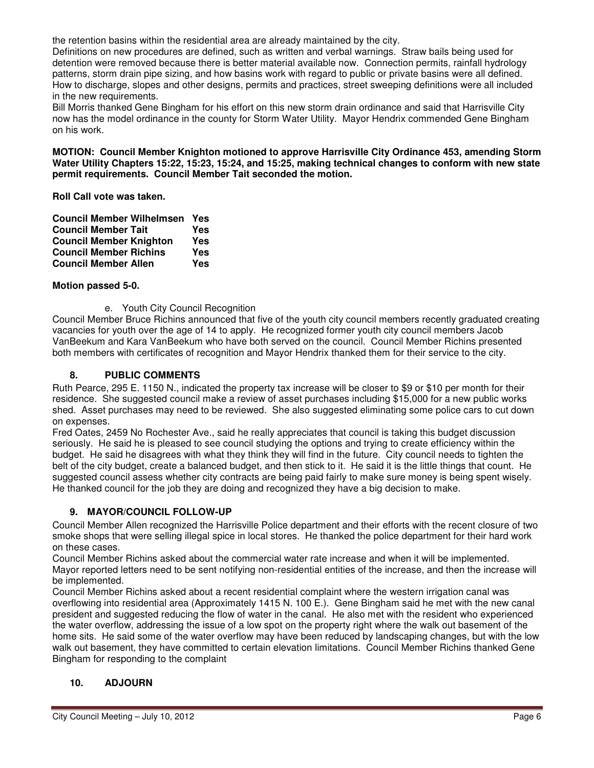the retention basins within the residential area are already maintained by the city.

Definitions on new procedures are defined, such as written and verbal warnings. Straw bails being used for detention were removed because there is better material available now. Connection permits, rainfall hydrology patterns, storm drain pipe sizing, and how basins work with regard to public or private basins were all defined. How to discharge, slopes and other designs, permits and practices, street sweeping definitions were all included in the new requirements.

Bill Morris thanked Gene Bingham for his effort on this new storm drain ordinance and said that Harrisville City now has the model ordinance in the county for Storm Water Utility. Mayor Hendrix commended Gene Bingham on his work.

**MOTION: Council Member Knighton motioned to approve Harrisville City Ordinance 453, amending Storm Water Utility Chapters 15:22, 15:23, 15:24, and 15:25, making technical changes to conform with new state permit requirements. Council Member Tait seconded the motion.** 

**Roll Call vote was taken.** 

| <b>Council Member Wilhelmsen</b> | Yes |
|----------------------------------|-----|
| <b>Council Member Tait</b>       | Yes |
| <b>Council Member Knighton</b>   | Yes |
| <b>Council Member Richins</b>    | Yes |
| <b>Council Member Allen</b>      | Yes |

## **Motion passed 5-0.**

e. Youth City Council Recognition

Council Member Bruce Richins announced that five of the youth city council members recently graduated creating vacancies for youth over the age of 14 to apply. He recognized former youth city council members Jacob VanBeekum and Kara VanBeekum who have both served on the council. Council Member Richins presented both members with certificates of recognition and Mayor Hendrix thanked them for their service to the city.

## **8. PUBLIC COMMENTS**

Ruth Pearce, 295 E. 1150 N., indicated the property tax increase will be closer to \$9 or \$10 per month for their residence. She suggested council make a review of asset purchases including \$15,000 for a new public works shed. Asset purchases may need to be reviewed. She also suggested eliminating some police cars to cut down on expenses.

Fred Oates, 2459 No Rochester Ave., said he really appreciates that council is taking this budget discussion seriously. He said he is pleased to see council studying the options and trying to create efficiency within the budget. He said he disagrees with what they think they will find in the future. City council needs to tighten the belt of the city budget, create a balanced budget, and then stick to it. He said it is the little things that count. He suggested council assess whether city contracts are being paid fairly to make sure money is being spent wisely. He thanked council for the job they are doing and recognized they have a big decision to make.

# **9. MAYOR/COUNCIL FOLLOW-UP**

Council Member Allen recognized the Harrisville Police department and their efforts with the recent closure of two smoke shops that were selling illegal spice in local stores. He thanked the police department for their hard work on these cases.

Council Member Richins asked about the commercial water rate increase and when it will be implemented. Mayor reported letters need to be sent notifying non-residential entities of the increase, and then the increase will be implemented.

Council Member Richins asked about a recent residential complaint where the western irrigation canal was overflowing into residential area (Approximately 1415 N. 100 E.). Gene Bingham said he met with the new canal president and suggested reducing the flow of water in the canal. He also met with the resident who experienced the water overflow, addressing the issue of a low spot on the property right where the walk out basement of the home sits. He said some of the water overflow may have been reduced by landscaping changes, but with the low walk out basement, they have committed to certain elevation limitations. Council Member Richins thanked Gene Bingham for responding to the complaint

## **10. ADJOURN**